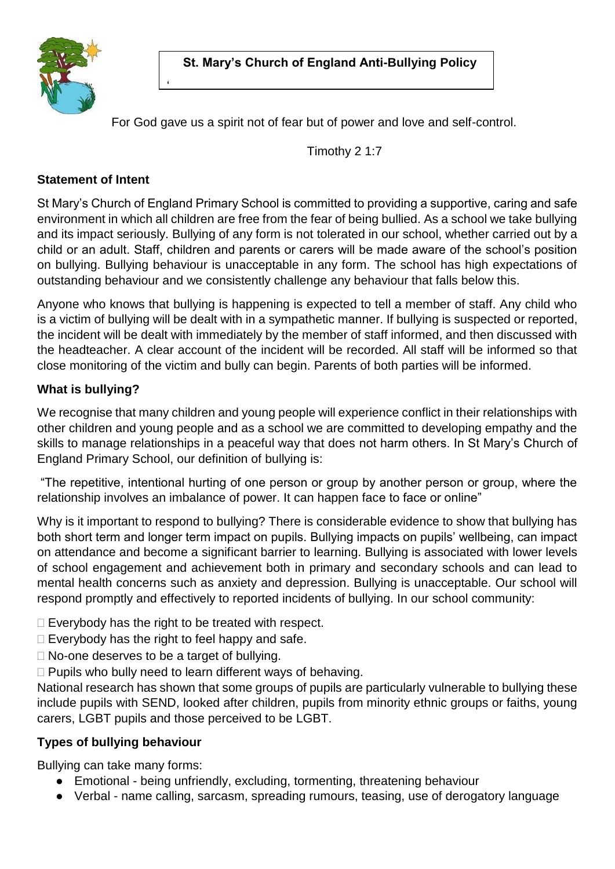

For God gave us a spirit not of fear but of power and love and self-control.

Timothy 2 1:7

## **Statement of Intent**

'

St Mary's Church of England Primary School is committed to providing a supportive, caring and safe environment in which all children are free from the fear of being bullied. As a school we take bullying and its impact seriously. Bullying of any form is not tolerated in our school, whether carried out by a child or an adult. Staff, children and parents or carers will be made aware of the school's position on bullying. Bullying behaviour is unacceptable in any form. The school has high expectations of outstanding behaviour and we consistently challenge any behaviour that falls below this.

Anyone who knows that bullying is happening is expected to tell a member of staff. Any child who is a victim of bullying will be dealt with in a sympathetic manner. If bullying is suspected or reported, the incident will be dealt with immediately by the member of staff informed, and then discussed with the headteacher. A clear account of the incident will be recorded. All staff will be informed so that close monitoring of the victim and bully can begin. Parents of both parties will be informed.

## **What is bullying?**

We recognise that many children and young people will experience conflict in their relationships with other children and young people and as a school we are committed to developing empathy and the skills to manage relationships in a peaceful way that does not harm others. In St Mary's Church of England Primary School, our definition of bullying is:

"The repetitive, intentional hurting of one person or group by another person or group, where the relationship involves an imbalance of power. It can happen face to face or online"

Why is it important to respond to bullying? There is considerable evidence to show that bullying has both short term and longer term impact on pupils. Bullying impacts on pupils' wellbeing, can impact on attendance and become a significant barrier to learning. Bullying is associated with lower levels of school engagement and achievement both in primary and secondary schools and can lead to mental health concerns such as anxiety and depression. Bullying is unacceptable. Our school will respond promptly and effectively to reported incidents of bullying. In our school community:

 $\Box$  Everybody has the right to be treated with respect.

- $\Box$  Everybody has the right to feel happy and safe.
- □ No-one deserves to be a target of bullying.
- $\Box$  Pupils who bully need to learn different ways of behaving.

National research has shown that some groups of pupils are particularly vulnerable to bullying these include pupils with SEND, looked after children, pupils from minority ethnic groups or faiths, young carers, LGBT pupils and those perceived to be LGBT.

## **Types of bullying behaviour**

Bullying can take many forms:

- Emotional being unfriendly, excluding, tormenting, threatening behaviour
- Verbal name calling, sarcasm, spreading rumours, teasing, use of derogatory language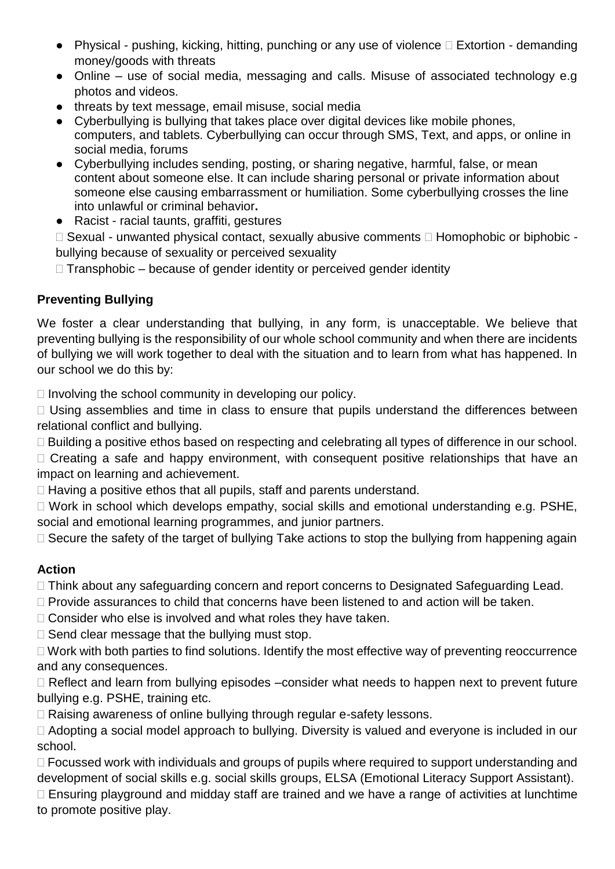- Physical pushing, kicking, hitting, punching or any use of violence  $\Box$  Extortion demanding money/goods with threats
- Online use of social media, messaging and calls. Misuse of associated technology e.g photos and videos.
- threats by text message, email misuse, social media
- Cyberbullying is bullying that takes place over digital devices like mobile phones, computers, and tablets. Cyberbullying can occur through SMS, Text, and apps, or online in social media, forums
- Cyberbullying includes sending, posting, or sharing negative, harmful, false, or mean content about someone else. It can include sharing personal or private information about someone else causing embarrassment or humiliation. Some cyberbullying crosses the line into unlawful or criminal behavior**.**
- Racist racial taunts, graffiti, gestures

□ Sexual - unwanted physical contact, sexually abusive comments □ Homophobic or biphobic bullying because of sexuality or perceived sexuality

 $\Box$  Transphobic – because of gender identity or perceived gender identity

# **Preventing Bullying**

We foster a clear understanding that bullying, in any form, is unacceptable. We believe that preventing bullying is the responsibility of our whole school community and when there are incidents of bullying we will work together to deal with the situation and to learn from what has happened. In our school we do this by:

 $\Box$  Involving the school community in developing our policy.

 $\Box$  Using assemblies and time in class to ensure that pupils understand the differences between relational conflict and bullying.

□ Building a positive ethos based on respecting and celebrating all types of difference in our school.

 $\Box$  Creating a safe and happy environment, with consequent positive relationships that have an impact on learning and achievement.

 $\Box$  Having a positive ethos that all pupils, staff and parents understand.

□ Work in school which develops empathy, social skills and emotional understanding e.g. PSHE, social and emotional learning programmes, and junior partners.

 $\Box$  Secure the safety of the target of bullying Take actions to stop the bullying from happening again

# **Action**

□ Think about any safeguarding concern and report concerns to Designated Safeguarding Lead.

 $\Box$  Provide assurances to child that concerns have been listened to and action will be taken.

 $\Box$  Consider who else is involved and what roles they have taken.

 $\Box$  Send clear message that the bullying must stop.

 $\Box$  Work with both parties to find solutions. Identify the most effective way of preventing reoccurrence and any consequences.

 $\Box$  Reflect and learn from bullying episodes –consider what needs to happen next to prevent future bullying e.g. PSHE, training etc.

 $\Box$  Raising awareness of online bullying through regular e-safety lessons.

□ Adopting a social model approach to bullying. Diversity is valued and everyone is included in our school.

 $\Box$  Focussed work with individuals and groups of pupils where required to support understanding and development of social skills e.g. social skills groups, ELSA (Emotional Literacy Support Assistant).

 $\Box$  Ensuring playground and midday staff are trained and we have a range of activities at lunchtime to promote positive play.